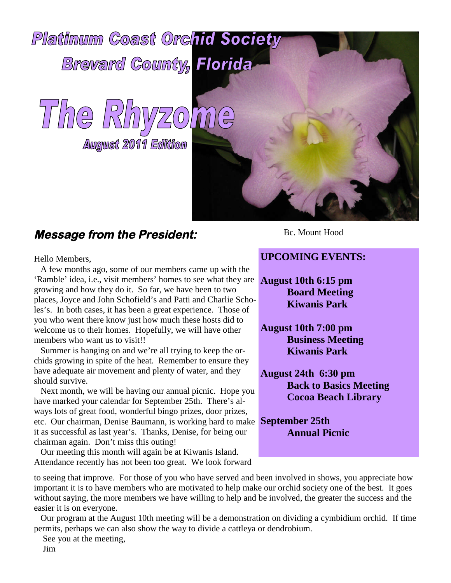

# **Message from the President:**

Hello Members,

A few months ago, some of our members came up with the 'Ramble' idea, i.e., visit members' homes to see what they are growing and how they do it. So far, we have been to two places, Joyce and John Schofield's and Patti and Charlie Scholes's. In both cases, it has been a great experience. Those of you who went there know just how much these hosts did to welcome us to their homes. Hopefully, we will have other members who want us to visit!!

Summer is hanging on and we're all trying to keep the orchids growing in spite of the heat. Remember to ensure they have adequate air movement and plenty of water, and they should survive.

**September 25th** etc. Our chairman, Denise Baumann, is working hard to make Next month, we will be having our annual picnic. Hope you have marked your calendar for September 25th. There's always lots of great food, wonderful bingo prizes, door prizes, it as successful as last year's. Thanks, Denise, for being our chairman again. Don't miss this outing!

Our meeting this month will again be at Kiwanis Island. Attendance recently has not been too great. We look forward Bc. Mount Hood

#### **UPCOMING EVENTS:**

**August 10th 6:15 pm Board Meeting Kiwanis Park**

**August 10th 7:00 pm Business Meeting Kiwanis Park**

**August 24th 6:30 pm Back to Basics Meeting Cocoa Beach Library**

**Annual Picnic**

to seeing that improve. For those of you who have served and been involved in shows, you appreciate how important it is to have members who are motivated to help make our orchid society one of the best. It goes without saying, the more members we have willing to help and be involved, the greater the success and the easier it is on everyone.

Our program at the August 10th meeting will be a demonstration on dividing a cymbidium orchid. If time permits, perhaps we can also show the way to divide a cattleya or dendrobium.

See you at the meeting,

Jim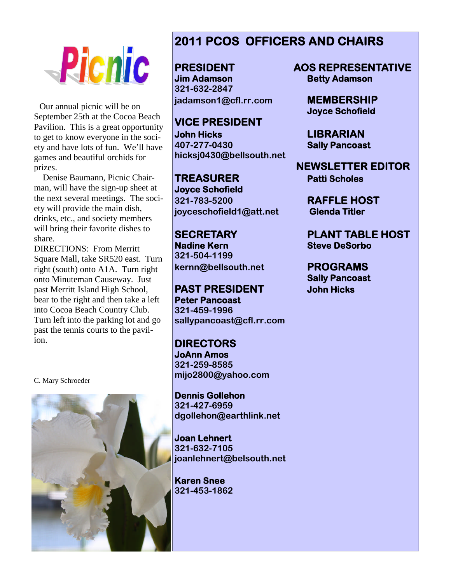

Our annual picnic will be on September 25th at the Cocoa Beach Pavilion. This is a great opportunity to get to know everyone in the society and have lots of fun. We'll have games and beautiful orchids for prizes.

Denise Baumann, Picnic Chairman, will have the sign-up sheet at the next several meetings. The society will provide the main dish, drinks, etc., and society members will bring their favorite dishes to share.

DIRECTIONS: From Merritt Square Mall, take SR520 east. Turn right (south) onto A1A. Turn right onto Minuteman Causeway. Just past Merritt Island High School, bear to the right and then take a left into Cocoa Beach Country Club. Turn left into the parking lot and go past the tennis courts to the pavilion.

C. Mary Schroeder



## **2011 PCOS OFFICERS AND CHAIRS**

**Jim Adamson Betty Adamson 321-632-2847 jadamson1@cfl.rr.com MEMBERSHIP**

**VICE PRESIDENT John Hicks LIBRARIAN 407-277-0430 Sally Pancoast hicksj0430@bellsouth.net**

**TREASURER Patti Scholes Joyce Schofield 321-783-5200 RAFFLE HOST joyceschofield1@att.net Glenda Titler**

**Nadine Kern Steve DeSorbo 321-504-1199 kernn@bellsouth.net PROGRAMS**

**PAST PRESIDENT John Hicks Peter Pancoast 321-459-1996 sallypancoast@cfl.rr.com**

**DIRECTORS JoAnn Amos 321-259-8585 mijo2800@yahoo.com**

**Dennis Gollehon 321-427-6959 dgollehon@earthlink.net**

**Joan Lehnert 321-632-7105 joanlehnert@belsouth.net**

**Karen Snee 321-453-1862**

**PRESIDENT AOS REPRESENTATIVE**

**Joyce Schofield**

**NEWSLETTER EDITOR**

**SECRETARY PLANT TABLE HOST**

**Sally Pancoast**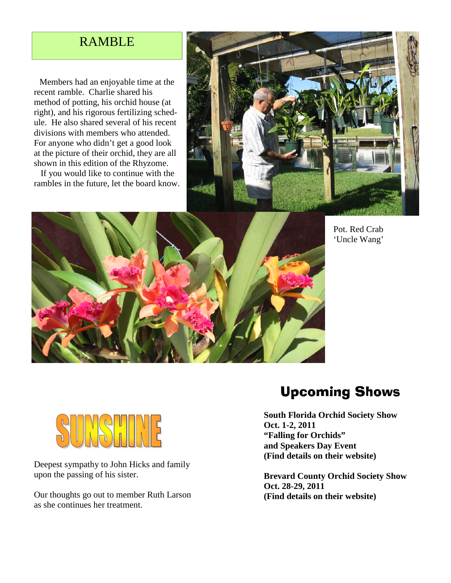### RAMBLE

Members had an enjoyable time at the recent ramble. Charlie shared his method of potting, his orchid house (at right), and his rigorous fertilizing schedule. He also shared several of his recent divisions with members who attended. For anyone who didn't get a good look at the picture of their orchid, they are all shown in this edition of the Rhyzome.

If you would like to continue with the rambles in the future, let the board know.





Pot. Red Crab 'Uncle Wang'



Deepest sympathy to John Hicks and family upon the passing of his sister.

Our thoughts go out to member Ruth Larson as she continues her treatment.

# Upcoming Shows

**South Florida Orchid Society Show Oct. 1-2, 2011 "Falling for Orchids" and Speakers Day Event (Find details on their website)**

**Brevard County Orchid Society Show Oct. 28-29, 2011 (Find details on their website)**